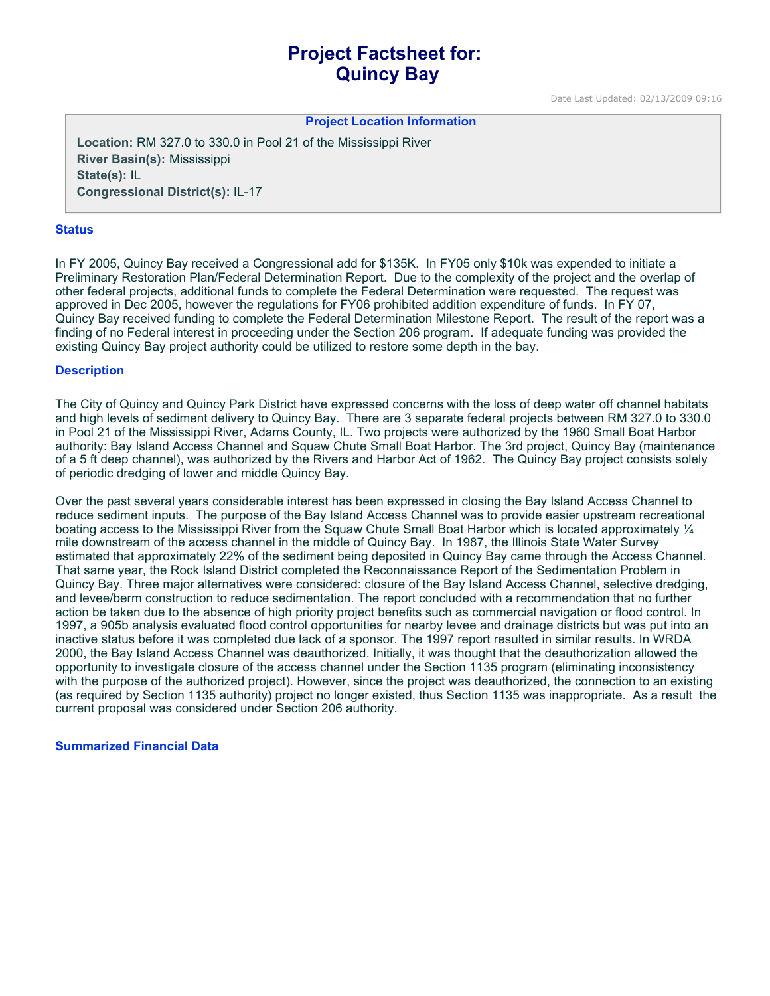# **Project Factsheet for: Quincy Bay**

Date Last Updated: 02/13/2009 09:16

#### **Project Location Information**

**Location:** RM 327.0 to 330.0 in Pool 21 of the Mississippi River **River Basin(s):** Mississippi **State(s):** IL **Congressional District(s):** IL-17

#### **Status**

In FY 2005, Quincy Bay received a Congressional add for \$135K. In FY05 only \$10k was expended to initiate a Preliminary Restoration Plan/Federal Determination Report. Due to the complexity of the project and the overlap of other federal projects, additional funds to complete the Federal Determination were requested. The request was approved in Dec 2005, however the regulations for FY06 prohibited addition expenditure of funds. In FY 07, Quincy Bay received funding to complete the Federal Determination Milestone Report. The result of the report was a finding of no Federal interest in proceeding under the Section 206 program. If adequate funding was provided the existing Quincy Bay project authority could be utilized to restore some depth in the bay.

#### **Description**

The City of Quincy and Quincy Park District have expressed concerns with the loss of deep water off channel habitats and high levels of sediment delivery to Quincy Bay. There are 3 separate federal projects between RM 327.0 to 330.0 in Pool 21 of the Mississippi River, Adams County, IL. Two projects were authorized by the 1960 Small Boat Harbor authority: Bay Island Access Channel and Squaw Chute Small Boat Harbor. The 3rd project, Quincy Bay (maintenance of a 5 ft deep channel), was authorized by the Rivers and Harbor Act of 1962. The Quincy Bay project consists solely of periodic dredging of lower and middle Quincy Bay.

Over the past several years considerable interest has been expressed in closing the Bay Island Access Channel to reduce sediment inputs. The purpose of the Bay Island Access Channel was to provide easier upstream recreational boating access to the Mississippi River from the Squaw Chute Small Boat Harbor which is located approximately ¼ mile downstream of the access channel in the middle of Quincy Bay. In 1987, the Illinois State Water Survey estimated that approximately 22% of the sediment being deposited in Quincy Bay came through the Access Channel. That same year, the Rock Island District completed the Reconnaissance Report of the Sedimentation Problem in Quincy Bay. Three major alternatives were considered: closure of the Bay Island Access Channel, selective dredging, and levee/berm construction to reduce sedimentation. The report concluded with a recommendation that no further action be taken due to the absence of high priority project benefits such as commercial navigation or flood control. In 1997, a 905b analysis evaluated flood control opportunities for nearby levee and drainage districts but was put into an inactive status before it was completed due lack of a sponsor. The 1997 report resulted in similar results. In WRDA 2000, the Bay Island Access Channel was deauthorized. Initially, it was thought that the deauthorization allowed the opportunity to investigate closure of the access channel under the Section 1135 program (eliminating inconsistency with the purpose of the authorized project). However, since the project was deauthorized, the connection to an existing (as required by Section 1135 authority) project no longer existed, thus Section 1135 was inappropriate. As a result the current proposal was considered under Section 206 authority.

### **Summarized Financial Data**